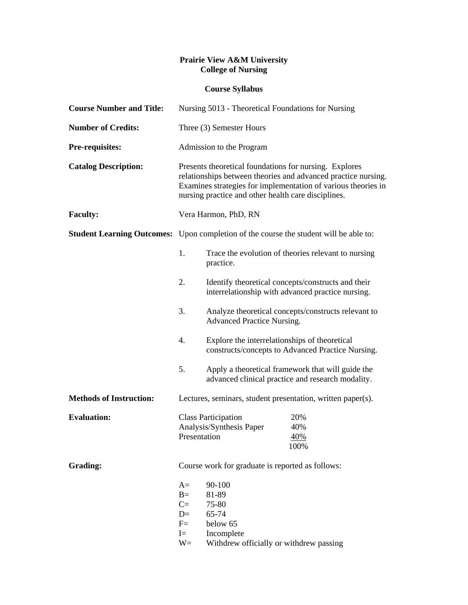## **Prairie View A&M University College of Nursing**

## **Course Syllabus**

| <b>Course Number and Title:</b>   | Nursing 5013 - Theoretical Foundations for Nursing                                                                                                                                                                                              |                                                                                                                                                                                                                                                                                                                                                                                                                     |                           |
|-----------------------------------|-------------------------------------------------------------------------------------------------------------------------------------------------------------------------------------------------------------------------------------------------|---------------------------------------------------------------------------------------------------------------------------------------------------------------------------------------------------------------------------------------------------------------------------------------------------------------------------------------------------------------------------------------------------------------------|---------------------------|
| <b>Number of Credits:</b>         | Three (3) Semester Hours                                                                                                                                                                                                                        |                                                                                                                                                                                                                                                                                                                                                                                                                     |                           |
| Pre-requisites:                   | Admission to the Program                                                                                                                                                                                                                        |                                                                                                                                                                                                                                                                                                                                                                                                                     |                           |
| <b>Catalog Description:</b>       | Presents theoretical foundations for nursing. Explores<br>relationships between theories and advanced practice nursing.<br>Examines strategies for implementation of various theories in<br>nursing practice and other health care disciplines. |                                                                                                                                                                                                                                                                                                                                                                                                                     |                           |
| <b>Faculty:</b>                   | Vera Harmon, PhD, RN                                                                                                                                                                                                                            |                                                                                                                                                                                                                                                                                                                                                                                                                     |                           |
| <b>Student Learning Outcomes:</b> | Upon completion of the course the student will be able to:                                                                                                                                                                                      |                                                                                                                                                                                                                                                                                                                                                                                                                     |                           |
|                                   | 1.                                                                                                                                                                                                                                              | Trace the evolution of theories relevant to nursing<br>practice.                                                                                                                                                                                                                                                                                                                                                    |                           |
|                                   | 2.                                                                                                                                                                                                                                              | Identify theoretical concepts/constructs and their<br>interrelationship with advanced practice nursing.<br>Analyze theoretical concepts/constructs relevant to<br><b>Advanced Practice Nursing.</b><br>Explore the interrelationships of theoretical<br>constructs/concepts to Advanced Practice Nursing.<br>Apply a theoretical framework that will guide the<br>advanced clinical practice and research modality. |                           |
|                                   | 3.                                                                                                                                                                                                                                              |                                                                                                                                                                                                                                                                                                                                                                                                                     |                           |
|                                   | 4.                                                                                                                                                                                                                                              |                                                                                                                                                                                                                                                                                                                                                                                                                     |                           |
|                                   | 5.                                                                                                                                                                                                                                              |                                                                                                                                                                                                                                                                                                                                                                                                                     |                           |
| <b>Methods of Instruction:</b>    | Lectures, seminars, student presentation, written paper(s).                                                                                                                                                                                     |                                                                                                                                                                                                                                                                                                                                                                                                                     |                           |
| <b>Evaluation:</b>                | <b>Class Participation</b><br>Analysis/Synthesis Paper<br>Presentation                                                                                                                                                                          |                                                                                                                                                                                                                                                                                                                                                                                                                     | 20%<br>40%<br>40%<br>100% |
| <b>Grading:</b>                   | Course work for graduate is reported as follows:                                                                                                                                                                                                |                                                                                                                                                                                                                                                                                                                                                                                                                     |                           |
|                                   | $A=$<br>$B=$<br>$C =$<br>$D=$<br>$F=$<br>$I =$<br>$W=$                                                                                                                                                                                          | 90-100<br>81-89<br>75-80<br>65-74<br>below 65<br>Incomplete<br>Withdrew officially or withdrew passing                                                                                                                                                                                                                                                                                                              |                           |